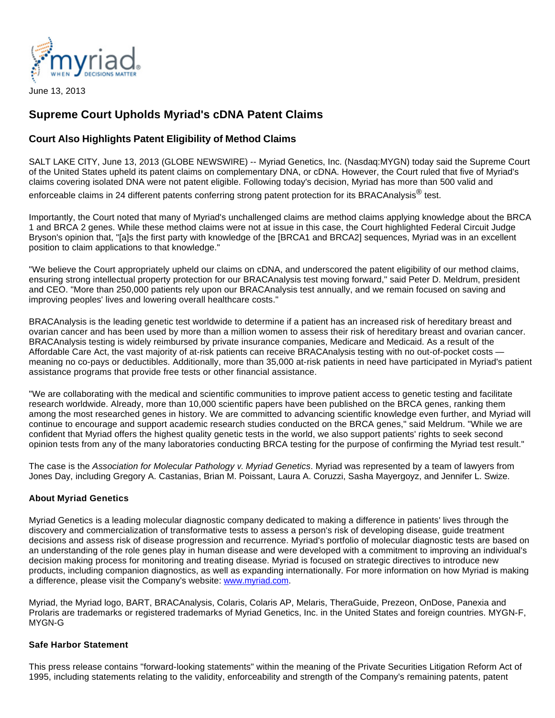

June 13, 2013

## **Supreme Court Upholds Myriad's cDNA Patent Claims**

## **Court Also Highlights Patent Eligibility of Method Claims**

SALT LAKE CITY, June 13, 2013 (GLOBE NEWSWIRE) -- Myriad Genetics, Inc. (Nasdaq:MYGN) today said the Supreme Court of the United States upheld its patent claims on complementary DNA, or cDNA. However, the Court ruled that five of Myriad's claims covering isolated DNA were not patent eligible. Following today's decision, Myriad has more than 500 valid and enforceable claims in 24 different patents conferring strong patent protection for its BRACAnalysis<sup>®</sup> test.

Importantly, the Court noted that many of Myriad's unchallenged claims are method claims applying knowledge about the BRCA 1 and BRCA 2 genes. While these method claims were not at issue in this case, the Court highlighted Federal Circuit Judge Bryson's opinion that, "[a]s the first party with knowledge of the [BRCA1 and BRCA2] sequences, Myriad was in an excellent position to claim applications to that knowledge."

"We believe the Court appropriately upheld our claims on cDNA, and underscored the patent eligibility of our method claims, ensuring strong intellectual property protection for our BRACAnalysis test moving forward," said Peter D. Meldrum, president and CEO. "More than 250,000 patients rely upon our BRACAnalysis test annually, and we remain focused on saving and improving peoples' lives and lowering overall healthcare costs."

BRACAnalysis is the leading genetic test worldwide to determine if a patient has an increased risk of hereditary breast and ovarian cancer and has been used by more than a million women to assess their risk of hereditary breast and ovarian cancer. BRACAnalysis testing is widely reimbursed by private insurance companies, Medicare and Medicaid. As a result of the Affordable Care Act, the vast majority of at-risk patients can receive BRACAnalysis testing with no out-of-pocket costs meaning no co-pays or deductibles. Additionally, more than 35,000 at-risk patients in need have participated in Myriad's patient assistance programs that provide free tests or other financial assistance.

"We are collaborating with the medical and scientific communities to improve patient access to genetic testing and facilitate research worldwide. Already, more than 10,000 scientific papers have been published on the BRCA genes, ranking them among the most researched genes in history. We are committed to advancing scientific knowledge even further, and Myriad will continue to encourage and support academic research studies conducted on the BRCA genes," said Meldrum. "While we are confident that Myriad offers the highest quality genetic tests in the world, we also support patients' rights to seek second opinion tests from any of the many laboratories conducting BRCA testing for the purpose of confirming the Myriad test result."

The case is the Association for Molecular Pathology v. Myriad Genetics. Myriad was represented by a team of lawyers from Jones Day, including Gregory A. Castanias, Brian M. Poissant, Laura A. Coruzzi, Sasha Mayergoyz, and Jennifer L. Swize.

## **About Myriad Genetics**

Myriad Genetics is a leading molecular diagnostic company dedicated to making a difference in patients' lives through the discovery and commercialization of transformative tests to assess a person's risk of developing disease, guide treatment decisions and assess risk of disease progression and recurrence. Myriad's portfolio of molecular diagnostic tests are based on an understanding of the role genes play in human disease and were developed with a commitment to improving an individual's decision making process for monitoring and treating disease. Myriad is focused on strategic directives to introduce new products, including companion diagnostics, as well as expanding internationally. For more information on how Myriad is making a difference, please visit the Company's website: [www.myriad.com](http://www.myriad.com/).

Myriad, the Myriad logo, BART, BRACAnalysis, Colaris, Colaris AP, Melaris, TheraGuide, Prezeon, OnDose, Panexia and Prolaris are trademarks or registered trademarks of Myriad Genetics, Inc. in the United States and foreign countries. MYGN-F, MYGN-G

## **Safe Harbor Statement**

This press release contains "forward-looking statements" within the meaning of the Private Securities Litigation Reform Act of 1995, including statements relating to the validity, enforceability and strength of the Company's remaining patents, patent